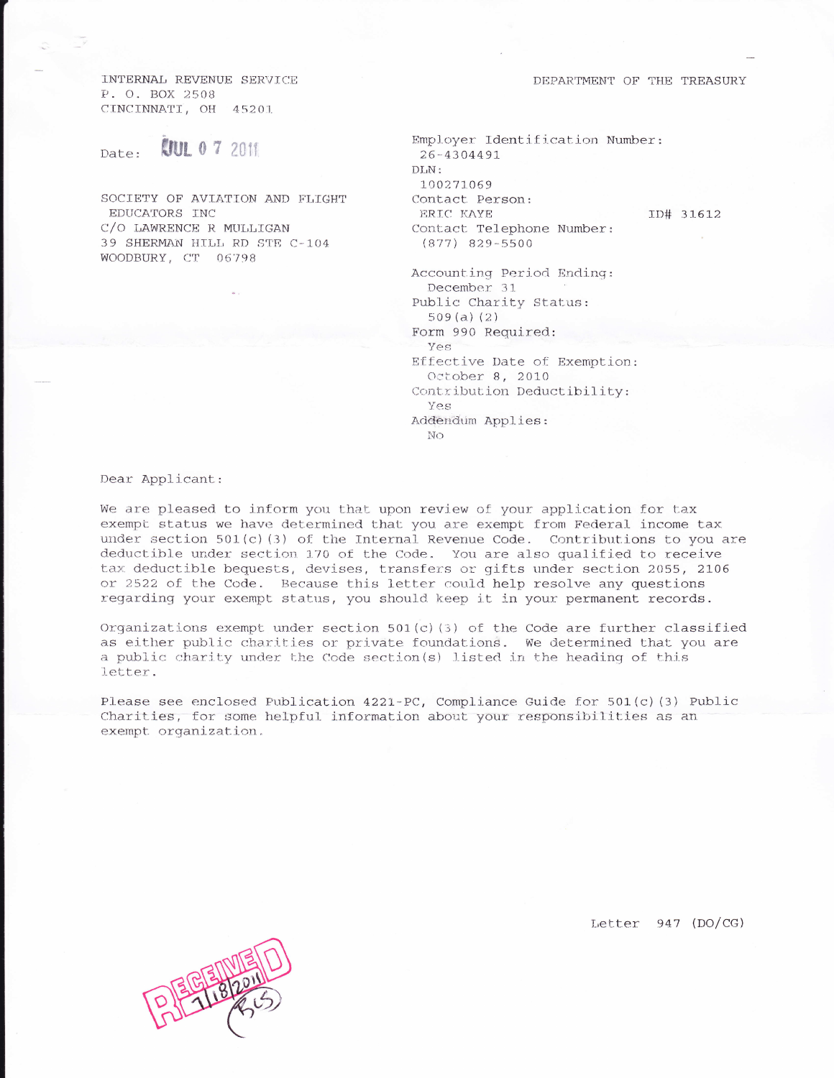DEPARTMENT OF THE TREASURY

INTERNAL REVENUE SERVICE P. O. BOX 2508 CINCINNATI, OH 45201

## **COUL 0 7 2011** Date:

SOCIETY OF AVIATION AND FLIGHT EDUCATORS INC C/O LAWRENCE R MULLIGAN 39 SHERMAN HILL RD STE C-104 WOODBURY, CT 06798

Employer Identification Number: 26-4304491 DLN: 100271069 Contact Person: ERIC KAYE Contact Telephone Number:  $(877)$  829-5500

ID# 31612

Accounting Period Ending: December 31 Public Charity Status:  $509(a) (2)$ Form 990 Required: Yes Effective Date of Exemption: October 8, 2010 Contribution Deductibility: Yes Addendum Applies: No

Dear Applicant:

We are pleased to inform you that upon review of your application for tax exempt status we have determined that you are exempt from Federal income tax under section  $501(c)(3)$  of the Internal Revenue Code. Contributions to you are deductible under section 170 of the Code. You are also qualified to receive tax deductible bequests, devises, transfers or gifts under section 2055, 2106 or 2522 of the Code. Because this letter could help resolve any questions regarding your exempt status, you should keep it in your permanent records.

Organizations exempt under section  $501(c)(3)$  of the Code are further classified as either public charities or private foundations. We determined that you are a public charity under the Code section(s) listed in the heading of this letter.

Please see enclosed Publication 4221-PC, Compliance Guide for 501(c)(3) Public Charities, for some helpful information about your responsibilities as an exempt organization.

Letter  $947$  (DO/CG)